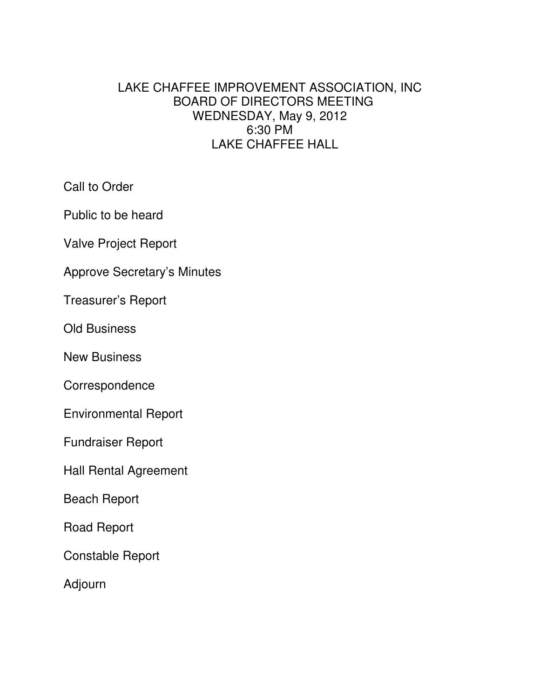## LAKE CHAFFEE IMPROVEMENT ASSOCIATION, INC BOARD OF DIRECTORS MEETING WEDNESDAY, May 9, 2012 6:30 PM LAKE CHAFFEE HALL

Call to Order

Public to be heard

Valve Project Report

Approve Secretary's Minutes

Treasurer's Report

Old Business

New Business

**Correspondence** 

Environmental Report

Fundraiser Report

Hall Rental Agreement

Beach Report

Road Report

Constable Report

Adjourn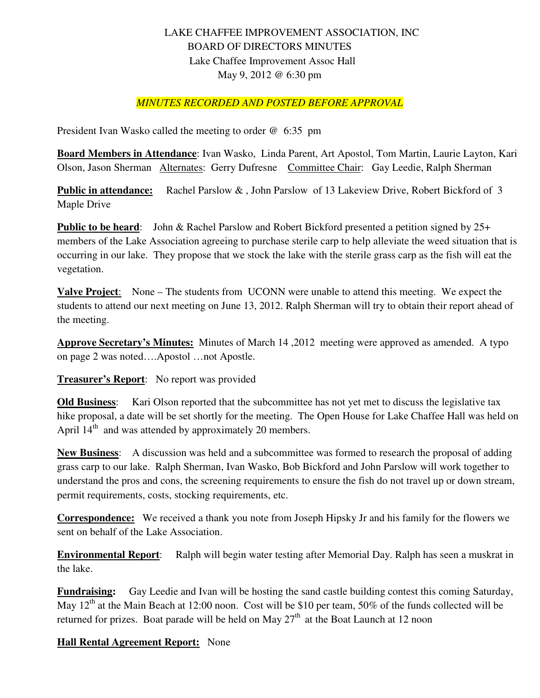## LAKE CHAFFEE IMPROVEMENT ASSOCIATION, INC BOARD OF DIRECTORS MINUTES Lake Chaffee Improvement Assoc Hall May 9, 2012 @ 6:30 pm

## *MINUTES RECORDED AND POSTED BEFORE APPROVAL*

President Ivan Wasko called the meeting to order @ 6:35 pm

**Board Members in Attendance**: Ivan Wasko, Linda Parent, Art Apostol, Tom Martin, Laurie Layton, Kari Olson, Jason Sherman Alternates: Gerry Dufresne Committee Chair: Gay Leedie, Ralph Sherman

**Public in attendance:** Rachel Parslow & , John Parslow of 13 Lakeview Drive, Robert Bickford of 3 Maple Drive

**Public to be heard:** John & Rachel Parslow and Robert Bickford presented a petition signed by 25+ members of the Lake Association agreeing to purchase sterile carp to help alleviate the weed situation that is occurring in our lake. They propose that we stock the lake with the sterile grass carp as the fish will eat the vegetation.

**Valve Project**: None – The students from UCONN were unable to attend this meeting. We expect the students to attend our next meeting on June 13, 2012. Ralph Sherman will try to obtain their report ahead of the meeting.

**Approve Secretary's Minutes:** Minutes of March 14 ,2012 meeting were approved as amended. A typo on page 2 was noted….Apostol …not Apostle.

**Treasurer's Report**: No report was provided

**Old Business**: Kari Olson reported that the subcommittee has not yet met to discuss the legislative tax hike proposal, a date will be set shortly for the meeting. The Open House for Lake Chaffee Hall was held on April 14<sup>th</sup> and was attended by approximately 20 members.

**New Business**: A discussion was held and a subcommittee was formed to research the proposal of adding grass carp to our lake. Ralph Sherman, Ivan Wasko, Bob Bickford and John Parslow will work together to understand the pros and cons, the screening requirements to ensure the fish do not travel up or down stream, permit requirements, costs, stocking requirements, etc.

**Correspondence:** We received a thank you note from Joseph Hipsky Jr and his family for the flowers we sent on behalf of the Lake Association.

**Environmental Report**: Ralph will begin water testing after Memorial Day. Ralph has seen a muskrat in the lake.

**Fundraising:** Gay Leedie and Ivan will be hosting the sand castle building contest this coming Saturday, May 12<sup>th</sup> at the Main Beach at 12:00 noon. Cost will be \$10 per team, 50% of the funds collected will be returned for prizes. Boat parade will be held on May  $27<sup>th</sup>$  at the Boat Launch at 12 noon

## **Hall Rental Agreement Report:** None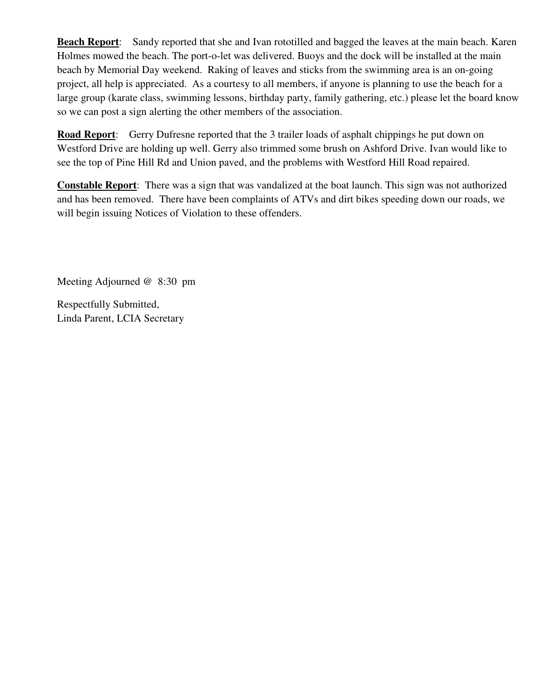**Beach Report**: Sandy reported that she and Ivan rototilled and bagged the leaves at the main beach. Karen Holmes mowed the beach. The port-o-let was delivered. Buoys and the dock will be installed at the main beach by Memorial Day weekend. Raking of leaves and sticks from the swimming area is an on-going project, all help is appreciated. As a courtesy to all members, if anyone is planning to use the beach for a large group (karate class, swimming lessons, birthday party, family gathering, etc.) please let the board know so we can post a sign alerting the other members of the association.

**Road Report**: Gerry Dufresne reported that the 3 trailer loads of asphalt chippings he put down on Westford Drive are holding up well. Gerry also trimmed some brush on Ashford Drive. Ivan would like to see the top of Pine Hill Rd and Union paved, and the problems with Westford Hill Road repaired.

**Constable Report**: There was a sign that was vandalized at the boat launch. This sign was not authorized and has been removed. There have been complaints of ATVs and dirt bikes speeding down our roads, we will begin issuing Notices of Violation to these offenders.

Meeting Adjourned @ 8:30 pm

Respectfully Submitted, Linda Parent, LCIA Secretary